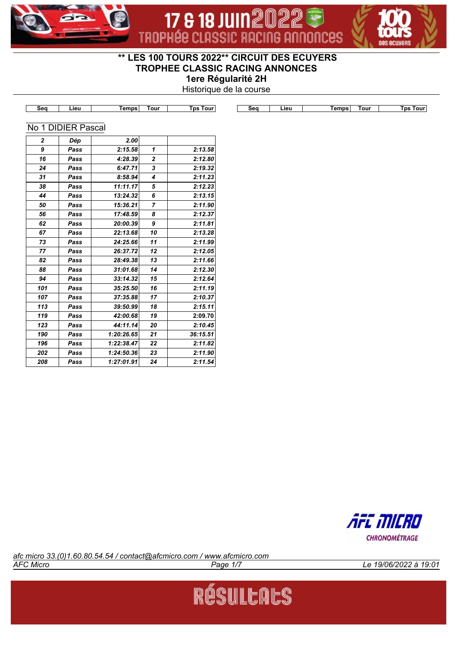



# **\*\* LES 100 TOURS 2022\*\* CIRCUIT DES ECUYERS TROPHEE CLASSIC RACING ANNONCES**

17 & 18 JUIN 2022

**1ere Régularité 2H**

Historique de la course

| Seq | Lieu               | <b>Temps</b> | <b>Tour</b>    | <b>Tps Tour</b> | Seq | Lieu | <b>Temps</b> | <b>Tour</b> | <b>Tps Tour</b> |
|-----|--------------------|--------------|----------------|-----------------|-----|------|--------------|-------------|-----------------|
|     |                    |              |                |                 |     |      |              |             |                 |
|     | No 1 DIDIER Pascal |              |                |                 |     |      |              |             |                 |
| 2   | Dép                | 2.00         |                |                 |     |      |              |             |                 |
| 9   | Pass               | 2:15.58      | 1              | 2:13.58         |     |      |              |             |                 |
| 16  | Pass               | 4:28.39      | $\mathbf{2}$   | 2:12.80         |     |      |              |             |                 |
| 24  | Pass               | 6:47.71      | 3              | 2:19.32         |     |      |              |             |                 |
| 31  | Pass               | 8:58.94      | 4              | 2:11.23         |     |      |              |             |                 |
| 38  | Pass               | 11:11.17     | 5              | 2:12.23         |     |      |              |             |                 |
| 44  | Pass               | 13:24.32     | 6              | 2:13.15         |     |      |              |             |                 |
| 50  | Pass               | 15:36.21     | $\overline{7}$ | 2:11.90         |     |      |              |             |                 |
| 56  | Pass               | 17:48.59     | 8              | 2:12.37         |     |      |              |             |                 |
| 62  | Pass               | 20:00.39     | 9              | 2:11.81         |     |      |              |             |                 |
| 67  | Pass               | 22:13.68     | 10             | 2:13.28         |     |      |              |             |                 |
| 73  | Pass               | 24:25.66     | 11             | 2:11.99         |     |      |              |             |                 |
| 77  | Pass               | 26:37.72     | 12             | 2:12.05         |     |      |              |             |                 |
| 82  | Pass               | 28:49.38     | 13             | 2:11.66         |     |      |              |             |                 |
| 88  | Pass               | 31:01.68     | 14             | 2:12.30         |     |      |              |             |                 |
| 94  | Pass               | 33:14.32     | 15             | 2:12.64         |     |      |              |             |                 |
| 101 | Pass               | 35:25.50     | 16             | 2:11.19         |     |      |              |             |                 |
| 107 | Pass               | 37:35.88     | 17             | 2:10.37         |     |      |              |             |                 |
| 113 | Pass               | 39:50.99     | 18             | 2:15.11         |     |      |              |             |                 |
| 119 | Pass               | 42:00.68     | 19             | 2:09.70         |     |      |              |             |                 |
| 123 | Pass               | 44:11.14     | 20             | 2:10.45         |     |      |              |             |                 |
| 190 | Pass               | 1:20:26.65   | 21             | 36:15.51        |     |      |              |             |                 |
| 196 | Pass               | 1:22:38.47   | 22             | 2:11.82         |     |      |              |             |                 |
| 202 | Pass               | 1:24:50.36   | 23             | 2:11.90         |     |      |              |             |                 |
| 208 | Pass               | 1:27:01.91   | 24             | 2:11.54         |     |      |              |             |                 |



*AFC Micro Page 1/7 Le 19/06/2022 à 19:01 afc micro 33.(0)1.60.80.54.54 / contact@afcmicro.com / www.afcmicro.com*

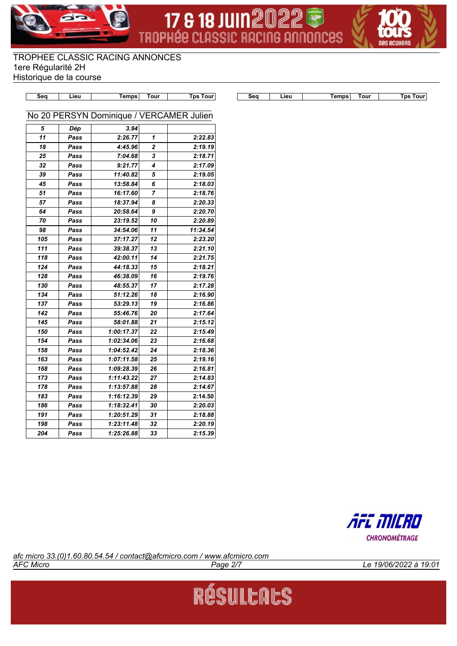





|     |      | <u>ivilipa</u>                           | $\cdots$       | 1 <b>p</b> o 1 <b>vu</b> r |
|-----|------|------------------------------------------|----------------|----------------------------|
|     |      | No 20 PERSYN Dominique / VERCAMER Julien |                |                            |
|     |      |                                          |                |                            |
| 5   | Dép  | 3.94                                     |                |                            |
| 11  | Pass | 2:26.77                                  | 1              | 2:22.83                    |
| 18  | Pass | 4:45.96                                  | $\overline{2}$ | 2:19.19                    |
| 25  | Pass | 7:04.68                                  | 3              | 2:18.71                    |
| 32  | Pass | 9:21.77                                  | 4              | 2:17.09                    |
| 39  | Pass | 11:40.82                                 | 5              | 2:19.05                    |
| 45  | Pass | 13:58.84                                 | 6              | 2:18.03                    |
| 51  | Pass | 16:17.60                                 | 7              | 2:18.76                    |
| 57  | Pass | 18:37.94                                 | 8              | 2:20.33                    |
| 64  | Pass | 20:58.64                                 | 9              | 2:20.70                    |
| 70  | Pass | 23:19.52                                 | 10             | 2:20.89                    |
| 98  | Pass | 34:54.06                                 | 11             | 11:34.54                   |
| 105 | Pass | 37:17.27                                 | 12             | 2:23.20                    |
| 111 | Pass | 39:38.37                                 | 13             | 2:21.10                    |
| 118 | Pass | 42:00.11                                 | 14             | 2:21.75                    |
| 124 | Pass | 44:18.33                                 | 15             | 2:18.21                    |
| 128 | Pass | 46:38.09                                 | 16             | 2:19.76                    |
| 130 | Pass | 48:55.37                                 | 17             | 2:17.28                    |
| 134 | Pass | 51:12.26                                 | 18             | 2:16.90                    |
| 137 | Pass | 53:29.13                                 | 19             | 2:16.86                    |
| 142 | Pass | 55:46.76                                 | 20             | 2:17.64                    |
| 145 | Pass | 58:01.88                                 | 21             | 2:15.12                    |
| 150 | Pass | 1:00:17.37                               | 22             | 2:15.49                    |
| 154 | Pass | 1:02:34.06                               | 23             | 2:16.68                    |
| 158 | Pass | 1:04:52.42                               | 24             | 2:18.36                    |
| 163 | Pass | 1:07:11.58                               | 25             | 2:19.16                    |
| 168 | Pass | 1:09:28.39                               | 26             | 2:16.81                    |
| 173 | Pass | 1:11:43.22                               | 27             | 2:14.83                    |
| 178 | Pass | 1:13:57.88                               | 28             | 2:14.67                    |
| 183 | Pass | 1:16:12.39                               | 29             | 2:14.50                    |
| 186 | Pass | 1:18:32.41                               | 30             | 2:20.03                    |
| 191 | Pass | 1:20:51.29                               | 31             | 2:18.88                    |
| 198 | Pass | 1:23:11.48                               | 32             | 2:20.19                    |
| 204 | Pass | 1:25:26.88                               | 33             | 2:15.39                    |

**Seq Lieu Temps Tour Tps Tour Seq Lieu Temps Tour Tps Tour**



*AFC Micro Page 2/7 Le 19/06/2022 à 19:01 afc micro 33.(0)1.60.80.54.54 / contact@afcmicro.com / www.afcmicro.com*

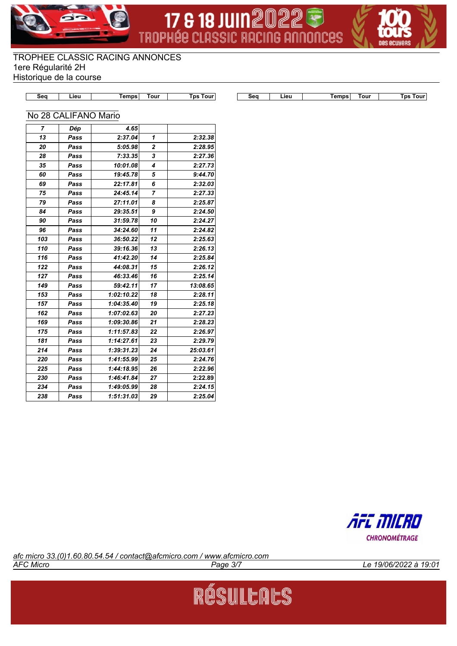





| $-0n$ | 1011 | mns | our |  |
|-------|------|-----|-----|--|

**Seq Lieu Temps Tour Tps Tour Seq Lieu Temps Tour Tps Tour**

## No 28 CALIFANO Mario

| 7   | Dép  | 4.65       |             |          |
|-----|------|------------|-------------|----------|
| 13  | Pass | 2:37.04    | 1           | 2:32.38  |
| 20  | Pass | 5:05.98    | $\mathbf 2$ | 2:28.95  |
| 28  | Pass | 7:33.35    | 3           | 2:27.36  |
| 35  | Pass | 10:01.08   | 4           | 2:27.73  |
| 60  | Pass | 19:45.78   | 5           | 9:44.70  |
| 69  | Pass | 22:17.81   | 6           | 2:32.03  |
| 75  | Pass | 24:45.14   | 7           | 2:27.33  |
| 79  | Pass | 27:11.01   | 8           | 2:25.87  |
| 84  | Pass | 29:35.51   | 9           | 2:24.50  |
| 90  | Pass | 31:59.78   | 10          | 2:24.27  |
| 96  | Pass | 34:24.60   | 11          | 2:24.82  |
| 103 | Pass | 36:50.22   | 12          | 2:25.63  |
| 110 | Pass | 39:16.36   | 13          | 2:26.13  |
| 116 | Pass | 41:42.20   | 14          | 2:25.84  |
| 122 | Pass | 44:08.31   | 15          | 2:26.12  |
| 127 | Pass | 46:33.46   | 16          | 2:25.14  |
| 149 | Pass | 59:42.11   | 17          | 13:08.65 |
| 153 | Pass | 1:02:10.22 | 18          | 2:28.11  |
| 157 | Pass | 1:04:35.40 | 19          | 2:25.18  |
| 162 | Pass | 1:07:02.63 | 20          | 2:27.23  |
| 169 | Pass | 1:09:30.86 | 21          | 2:28.23  |
| 175 | Pass | 1:11:57.83 | 22          | 2:26.97  |
| 181 | Pass | 1:14:27.61 | 23          | 2:29.79  |
| 214 | Pass | 1:39:31.23 | 24          | 25:03.61 |
| 220 | Pass | 1:41:55.99 | 25          | 2:24.76  |
| 225 | Pass | 1:44:18.95 | 26          | 2:22.96  |
| 230 | Pass | 1:46:41.84 | 27          | 2:22.89  |
| 234 | Pass | 1:49:05.99 | 28          | 2:24.15  |
| 238 | Pass | 1:51:31.03 | 29          | 2:25.04  |



*AFC Micro Page 3/7 Le 19/06/2022 à 19:01 afc micro 33.(0)1.60.80.54.54 / contact@afcmicro.com / www.afcmicro.com*

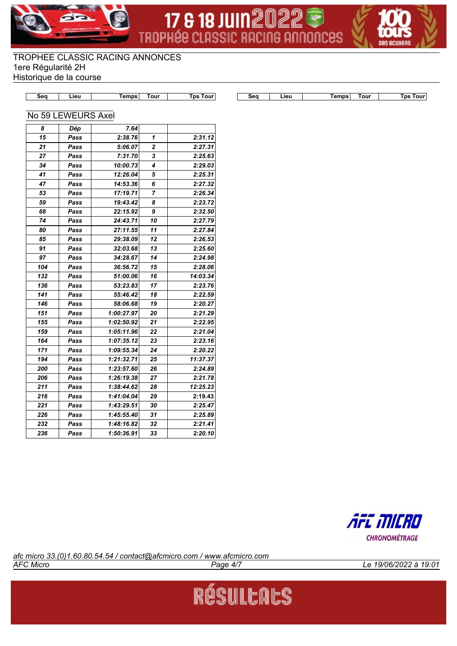





| $-0o$ | mns:<br>--- | our |  |
|-------|-------------|-----|--|

**Seq Lieu Temps Tour Tps Tour Seq Lieu Temps Tour Tps Tour**

#### No 59 LEWEURS Axel

| 8   | Dép  | 7.64       |              |          |
|-----|------|------------|--------------|----------|
| 15  | Pass | 2:38.76    | 1            | 2:31.12  |
| 21  | Pass | 5:06.07    | $\mathbf{z}$ | 2:27.31  |
| 27  | Pass | 7:31.70    | 3            | 2:25.63  |
| 34  | Pass | 10:00.73   | 4            | 2:29.03  |
| 41  | Pass | 12:26.04   | 5            | 2:25.31  |
| 47  | Pass | 14:53.36   | 6            | 2:27.32  |
| 53  | Pass | 17:19.71   | 7            | 2:26.34  |
| 59  | Pass | 19:43.42   | 8            | 2:23.72  |
| 68  | Pass | 22:15.92   | 9            | 2:32.50  |
| 74  | Pass | 24:43.71   | 10           | 2:27.79  |
| 80  | Pass | 27:11.55   | 11           | 2:27.84  |
| 85  | Pass | 29:38.09   | 12           | 2:26.53  |
| 91  | Pass | 32:03.68   | 13           | 2:25.60  |
| 97  | Pass | 34:28.67   | 14           | 2:24.98  |
| 104 | Pass | 36:56.72   | 15           | 2:28.06  |
| 132 | Pass | 51:00.06   | 16           | 14:03.34 |
| 136 | Pass | 53:23.83   | 17           | 2:23.76  |
| 141 | Pass | 55:46.42   | 18           | 2:22.59  |
| 146 | Pass | 58:06.68   | 19           | 2:20.27  |
| 151 | Pass | 1:00:27.97 | 20           | 2:21.29  |
| 155 | Pass | 1:02:50.92 | 21           | 2:22.95  |
| 159 | Pass | 1:05:11.96 | 22           | 2:21.04  |
| 164 | Pass | 1:07:35.12 | 23           | 2:23.16  |
| 171 | Pass | 1:09:55.34 | 24           | 2:20.22  |
| 194 | Pass | 1:21:32.71 | 25           | 11:37.37 |
| 200 | Pass | 1:23:57.60 | 26           | 2:24.89  |
| 206 | Pass | 1:26:19.38 | 27           | 2:21.78  |
| 211 | Pass | 1:38:44.62 | 28           | 12:25.23 |
| 216 | Pass | 1:41:04.04 | 29           | 2:19.43  |
| 221 | Pass | 1:43:29.51 | 30           | 2:25.47  |
| 226 | Pass | 1:45:55.40 | 31           | 2:25.89  |
| 232 | Pass | 1:48:16.82 | 32           | 2:21.41  |
| 236 | Pass | 1:50:36.91 | 33           | 2:20.10  |



*AFC Micro Page 4/7 Le 19/06/2022 à 19:01 afc micro 33.(0)1.60.80.54.54 / contact@afcmicro.com / www.afcmicro.com*

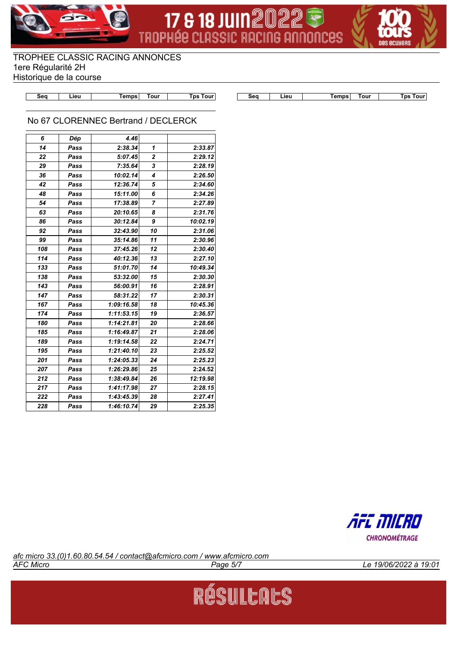





|  | nur |
|--|-----|

**Seq Lieu Temps Tour Tps Tour Seq Lieu Temps Tour Tps Tour**

## No 67 CLORENNEC Bertrand / DECLERCK

| 6   | Dép  | 4.46       |    |          |
|-----|------|------------|----|----------|
| 14  | Pass | 2:38.34    | 1  | 2:33.87  |
| 22  | Pass | 5:07.45    | 2  | 2:29.12  |
| 29  | Pass | 7:35.64    | 3  | 2:28.19  |
| 36  | Pass | 10:02.14   | 4  | 2:26.50  |
| 42  | Pass | 12:36.74   | 5  | 2:34.60  |
| 48  | Pass | 15:11.00   | 6  | 2:34.26  |
| 54  | Pass | 17:38.89   | 7  | 2:27.89  |
| 63  | Pass | 20:10.65   | 8  | 2:31.76  |
| 86  | Pass | 30:12.84   | 9  | 10:02.19 |
| 92  | Pass | 32:43.90   | 10 | 2:31.06  |
| 99  | Pass | 35:14.86   | 11 | 2:30.96  |
| 108 | Pass | 37:45.26   | 12 | 2:30.40  |
| 114 | Pass | 40:12.36   | 13 | 2:27.10  |
| 133 | Pass | 51:01.70   | 14 | 10:49.34 |
| 138 | Pass | 53:32.00   | 15 | 2:30.30  |
| 143 | Pass | 56:00.91   | 16 | 2:28.91  |
| 147 | Pass | 58:31.22   | 17 | 2:30.31  |
| 167 | Pass | 1:09:16.58 | 18 | 10:45.36 |
| 174 | Pass | 1:11:53.15 | 19 | 2:36.57  |
| 180 | Pass | 1:14:21.81 | 20 | 2:28.66  |
| 185 | Pass | 1:16:49.87 | 21 | 2:28.06  |
| 189 | Pass | 1:19:14.58 | 22 | 2:24.71  |
| 195 | Pass | 1:21:40.10 | 23 | 2:25.52  |
| 201 | Pass | 1:24:05.33 | 24 | 2:25.23  |
| 207 | Pass | 1:26:29.86 | 25 | 2:24.52  |
| 212 | Pass | 1:38:49.84 | 26 | 12:19.98 |
| 217 | Pass | 1:41:17.98 | 27 | 2:28.15  |
| 222 | Pass | 1:43:45.39 | 28 | 2:27.41  |
| 228 | Pass | 1:46:10.74 | 29 | 2:25.35  |



*AFC Micro Page 5/7 Le 19/06/2022 à 19:01 afc micro 33.(0)1.60.80.54.54 / contact@afcmicro.com / www.afcmicro.com*

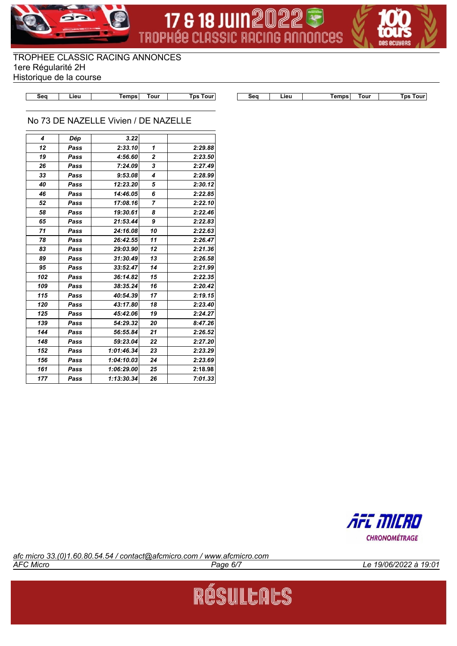





**Seq Lieu Temps Tour Tps Tour Seq Lieu Temps Tour Tps Tour**

#### No 73 DE NAZELLE Vivien / DE NAZELLE

| 4   | Dép  | 3.22       |                |         |
|-----|------|------------|----------------|---------|
| 12  | Pass | 2:33.10    | 1              | 2:29.88 |
| 19  | Pass | 4:56.60    | $\overline{2}$ | 2:23.50 |
| 26  | Pass | 7:24.09    | 3              | 2:27.49 |
| 33  | Pass | 9:53.08    | 4              | 2:28.99 |
| 40  | Pass | 12:23.20   | 5              | 2:30.12 |
| 46  | Pass | 14:46.05   | 6              | 2:22.85 |
| 52  | Pass | 17:08.16   | 7              | 2:22.10 |
| 58  | Pass | 19:30.61   | 8              | 2:22.46 |
| 65  | Pass | 21:53.44   | 9              | 2:22.83 |
| 71  | Pass | 24:16.08   | 10             | 2:22.63 |
| 78  | Pass | 26:42.55   | 11             | 2:26.47 |
| 83  | Pass | 29:03.90   | 12             | 2:21.36 |
| 89  | Pass | 31:30.49   | 13             | 2:26.58 |
| 95  | Pass | 33:52.47   | 14             | 2:21.99 |
| 102 | Pass | 36:14.82   | 15             | 2:22.35 |
| 109 | Pass | 38:35.24   | 16             | 2:20.42 |
| 115 | Pass | 40:54.39   | 17             | 2:19.15 |
| 120 | Pass | 43:17.80   | 18             | 2:23.40 |
| 125 | Pass | 45:42.06   | 19             | 2:24.27 |
| 139 | Pass | 54:29.32   | 20             | 8:47.26 |
| 144 | Pass | 56:55.84   | 21             | 2:26.52 |
| 148 | Pass | 59:23.04   | 22             | 2:27.20 |
| 152 | Pass | 1:01:46.34 | 23             | 2:23.29 |
| 156 | Pass | 1:04:10.03 | 24             | 2:23.69 |
| 161 | Pass | 1:06:29.00 | 25             | 2:18.98 |
| 177 | Pass | 1:13:30.34 | 26             | 7:01.33 |



*AFC Micro Page 6/7 Le 19/06/2022 à 19:01 afc micro 33.(0)1.60.80.54.54 / contact@afcmicro.com / www.afcmicro.com*